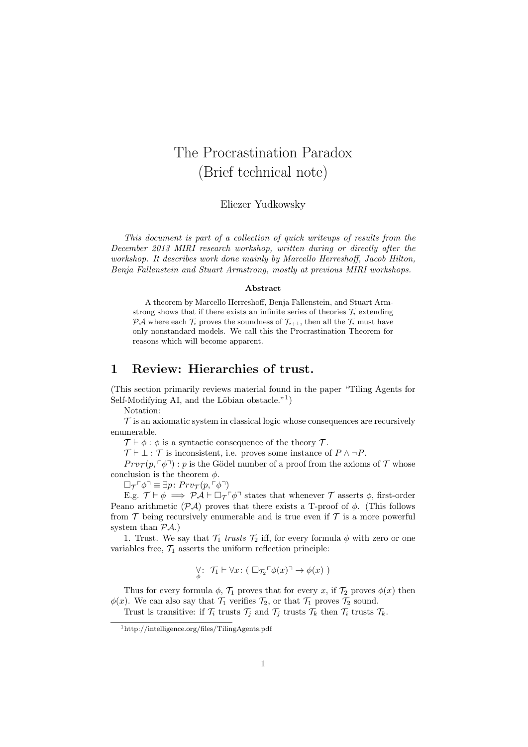## The Procrastination Paradox (Brief technical note)

Eliezer Yudkowsky

This document is part of a collection of quick writeups of results from the December 2013 MIRI research workshop, written during or directly after the workshop. It describes work done mainly by Marcello Herreshoff, Jacob Hilton, Benja Fallenstein and Stuart Armstrong, mostly at previous MIRI workshops.

## Abstract

A theorem by Marcello Herreshoff, Benja Fallenstein, and Stuart Armstrong shows that if there exists an infinite series of theories  $\mathcal{T}_i$  extending  $\mathcal{P} \mathcal{A}$  where each  $\mathcal{T}_i$  proves the soundness of  $\mathcal{T}_{i+1}$ , then all the  $\mathcal{T}_i$  must have only nonstandard models. We call this the Procrastination Theorem for reasons which will become apparent.

## 1 Review: Hierarchies of trust.

(This section primarily reviews material found in the paper "Tiling Agents for Self-Modifying AI, and the Löbian obstacle."<sup>1</sup>)

Notation:

 $\mathcal T$  is an axiomatic system in classical logic whose consequences are recursively enumerable.

 $\mathcal{T} \vdash \phi : \phi$  is a syntactic consequence of the theory  $\mathcal{T}$ .

 $\mathcal{T} \vdash \bot : \mathcal{T}$  is inconsistent, i.e. proves some instance of  $P \land \neg P$ .

 $Prv_{\mathcal{T}}(p, \lceil \phi \rceil)$ : p is the Gödel number of a proof from the axioms of T whose conclusion is the theorem  $\phi$ .

 $\Box_{\mathcal{T}} \ulcorner \phi \urcorner \equiv \exists p \colon Pr v_{\mathcal{T}}(p, \ulcorner \phi \urcorner)$ 

E.g.  $\mathcal{T} \vdash \phi \implies \mathcal{P} \mathcal{A} \vdash \Box_{\mathcal{T}} \ulcorner \phi \urcorner$  states that whenever  $\mathcal{T}$  asserts  $\phi$ , first-order Peano arithmetic  $(\mathcal{P} \mathcal{A})$  proves that there exists a T-proof of  $\phi$ . (This follows from  $\mathcal T$  being recursively enumerable and is true even if  $\mathcal T$  is a more powerful system than  $\mathcal{P}A$ .)

1. Trust. We say that  $\mathcal{T}_1$  trusts  $\mathcal{T}_2$  iff, for every formula  $\phi$  with zero or one variables free,  $\mathcal{T}_1$  asserts the uniform reflection principle:

$$
\forall \,:\,\, \mathcal{T}_1 \vdash \forall x \colon (\Box_{\mathcal{T}_2} \ulcorner \phi(x) \urcorner \to \phi(x))
$$

Thus for every formula  $\phi$ ,  $\mathcal{T}_1$  proves that for every x, if  $\mathcal{T}_2$  proves  $\phi(x)$  then  $\phi(x)$ . We can also say that  $\mathcal{T}_1$  verifies  $\mathcal{T}_2$ , or that  $\mathcal{T}_1$  proves  $\mathcal{T}_2$  sound.

Trust is transitive: if  $\mathcal{T}_i$  trusts  $\mathcal{T}_j$  and  $\mathcal{T}_j$  trusts  $\mathcal{T}_k$  trusts  $\mathcal{T}_k$ .

<sup>1</sup>http://intelligence.org/files/TilingAgents.pdf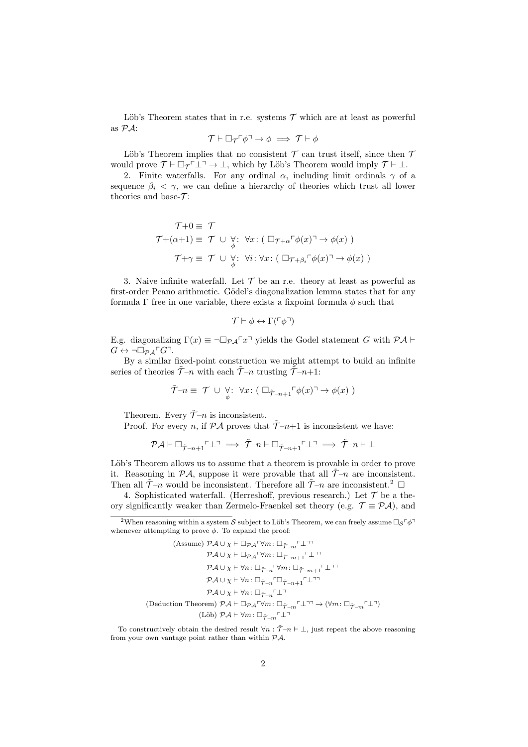Löb's Theorem states that in r.e. systems  $\mathcal T$  which are at least as powerful as PA:

$$
\mathcal{T}\vdash \Box_{\mathcal{T}}\ulcorner\phi\urcorner\rightarrow\phi\implies \mathcal{T}\vdash\phi
$$

Löb's Theorem implies that no consistent  $\mathcal T$  can trust itself, since then  $\mathcal T$ would prove  $\mathcal{T} \vdash \Box_{\mathcal{T}} \bot \bot \rightarrow \bot$ , which by Löb's Theorem would imply  $\mathcal{T} \vdash \bot$ .

2. Finite waterfalls. For any ordinal  $\alpha$ , including limit ordinals  $\gamma$  of a sequence  $\beta_i < \gamma$ , we can define a hierarchy of theories which trust all lower theories and base- $\mathcal{T}$ :

$$
\mathcal{T}+0 \equiv \mathcal{T}
$$
  
\n
$$
\mathcal{T}+(\alpha+1) \equiv \mathcal{T} \cup \underset{\phi}{\forall} : \forall x : (\Box_{\mathcal{T}+\alpha} \ulcorner \phi(x) \urcorner \rightarrow \phi(x))
$$
  
\n
$$
\mathcal{T}+\gamma \equiv \mathcal{T} \cup \underset{\phi}{\forall} : \forall i : \forall x : (\Box_{\mathcal{T}+\beta_i} \ulcorner \phi(x) \urcorner \rightarrow \phi(x))
$$

3. Naive infinite waterfall. Let  $\mathcal T$  be an r.e. theory at least as powerful as first-order Peano arithmetic. Gödel's diagonalization lemma states that for any formula  $\Gamma$  free in one variable, there exists a fixpoint formula  $\phi$  such that

$$
\mathcal{T} \vdash \phi \leftrightarrow \Gamma(\ulcorner \phi \urcorner)
$$

E.g. diagonalizing  $\Gamma(x) \equiv \neg \Box_{\mathcal{P} \mathcal{A}} \Gamma(x)$  yields the Godel statement G with  $\mathcal{P} \mathcal{A} \vdash$  $G \leftrightarrow \neg \Box_{\mathcal{P} A} \ulcorner G \urcorner$ .

By a similar fixed-point construction we might attempt to build an infinite series of theories  $\tilde{\mathcal{T}}-n$  with each  $\tilde{\mathcal{T}}-n$  trusting  $\tilde{\mathcal{T}}-n+1$ :

$$
\widetilde{\mathcal{T}}-n \equiv \mathcal{T} \cup \underset{\phi}{\forall} : \ \forall x : (\Box_{\widetilde{\mathcal{T}}-n+1} \ulcorner \phi(x) \urcorner \rightarrow \phi(x))
$$

Theorem. Every  $\tilde{\mathcal{T}}_{-n}$  is inconsistent.

Proof. For every n, if  $\mathcal{P} \mathcal{A}$  proves that  $\tilde{\mathcal{T}}-n+1$  is inconsistent we have:

$$
\mathcal{P}\mathcal{A}\vdash \Box_{\tilde{\mathcal{T}}-n+1}\ulcorner\bot\urcorner\implies \tilde{\mathcal{T}}\ulcorner n\vdash \Box_{\tilde{\mathcal{T}}-n+1}\ulcorner\bot\urcorner\implies \tilde{\mathcal{T}}\ulcorner n\vdash\bot
$$

Löb's Theorem allows us to assume that a theorem is provable in order to prove it. Reasoning in  $\mathcal{P}A$ , suppose it were provable that all  $\tilde{\mathcal{T}}-n$  are inconsistent. Then all  $\tilde{\mathcal{T}}-n$  would be inconsistent. Therefore all  $\tilde{\mathcal{T}}-n$  are inconsistent.<sup>2</sup>  $\Box$ 

4. Sophisticated waterfall. (Herreshoff, previous research.) Let  $\mathcal T$  be a theory significantly weaker than Zermelo-Fraenkel set theory (e.g.  $\mathcal{T} \equiv \mathcal{P} \mathcal{A}$ ), and

<sup>&</sup>lt;sup>2</sup>When reasoning within a system S subject to Löb's Theorem, we can freely assume  $\Box_S \ulcorner \phi \urcorner$ whenever attempting to prove  $\phi$ . To expand the proof:

<sup>(</sup>Assume)  $\mathcal{P}A \cup \chi \vdash \Box_{\mathcal{P}A} \forall m : \Box_{\tilde{\mathcal{T}}=m} \Box \Box$  $\mathcal{P} A \cup \chi \vdash \Box_{\mathcal{P} A} \ulcorner \forall m \colon \Box_{\tilde{\mathcal{T}} - m + 1} \ulcorner \bot \urcorner \bot$  $\mathcal{P} \mathcal{A} \cup \chi \vdash \forall n \colon \Box_{\tilde{\mathcal{T}} - n} \ulcorner \forall m \colon \Box_{\tilde{\mathcal{T}} - m + 1} \ulcorner \bot \urcorner \urcorner$  $\mathcal{P} \mathcal{A} \cup \chi \vdash \forall n \colon \Box_{\tilde{\mathcal{T}} - n} \ulcorner \Box_{\tilde{\mathcal{T}} - n + 1} \ulcorner \bot \urcorner \urcorner$  $\mathcal{P} \mathcal{A} \cup \chi \vdash \forall n: \Box_{\tilde{\mathcal{T}}-n} \ulcorner \bot \urcorner$  $\text{(Deduction Theorem)\ }\mathcal{PA}\vdash \Box_{\mathcal{PA}}\ulcorner\forall m\colon \Box_{\tilde{\mathcal{T}}-m}\ulcorner\bot\urcorner\rightarrow (\forall m\colon \Box_{\tilde{\mathcal{T}}-m}\ulcorner\bot\urcorner)$ (Löb)  $\mathcal{PA} \vdash \forall m : \Box_{\widetilde{\mathcal{T}} - m} \ulcorner \bot \urcorner$ 

To constructively obtain the desired result  $\forall n : \tilde{\mathcal{T}}-n \vdash \bot$ , just repeat the above reasoning from your own vantage point rather than within  $\mathcal{P} \mathcal{A}$ .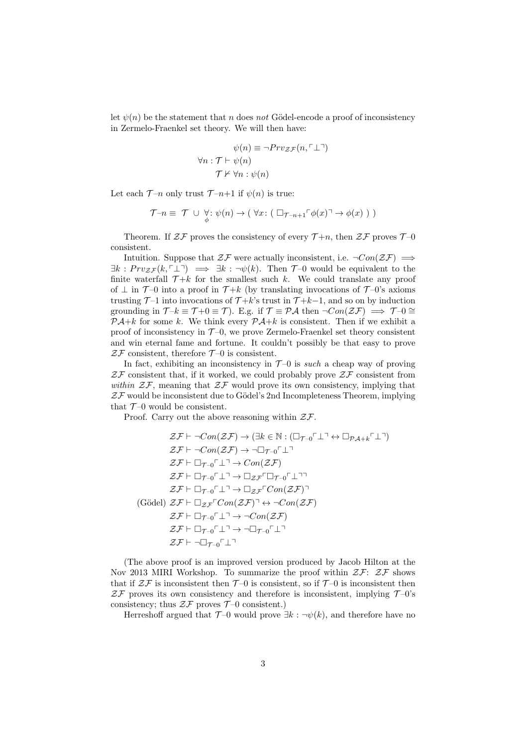let  $\psi(n)$  be the statement that n does not Gödel-encode a proof of inconsistency in Zermelo-Fraenkel set theory. We will then have:

$$
\psi(n) \equiv \neg Prv_{\mathcal{ZF}}(n, \ulcorner \perp \urcorner)
$$
  
\n
$$
\forall n : \mathcal{T} \vdash \psi(n)
$$
  
\n
$$
\mathcal{T} \nvdash \forall n : \psi(n)
$$

Let each  $\mathcal{T}-n$  only trust  $\mathcal{T}-n+1$  if  $\psi(n)$  is true:

$$
\mathcal{T} \neg n \equiv \mathcal{T} \cup \bigcirc_{\phi} : \psi(n) \to (\forall x : (\Box_{\mathcal{T} \neg n+1} \ulcorner \phi(x) \urcorner \to \phi(x))))
$$

Theorem. If  $\mathcal{ZF}$  proves the consistency of every  $\mathcal{T}+n$ , then  $\mathcal{ZF}$  proves  $\mathcal{T}$ -0 consistent.

Intuition. Suppose that  $\mathcal{ZF}$  were actually inconsistent, i.e.  $\neg Con(\mathcal{ZF}) \implies$  $\exists k : Pr v_{z,\mathcal{F}}(k, \ulcorner \perp \urcorner) \implies \exists k : \neg \psi(k).$  Then  $\mathcal{T}$ -0 would be equivalent to the finite waterfall  $\mathcal{T}+k$  for the smallest such k. We could translate any proof of  $\perp$  in  $\mathcal{T}$ -0 into a proof in  $\mathcal{T}+k$  (by translating invocations of  $\mathcal{T}$ -0's axioms trusting  $\mathcal{T}$ -1 into invocations of  $\mathcal{T}+k$ 's trust in  $\mathcal{T}+k-1$ , and so on by induction grounding in  $\mathcal{T} - k \equiv \mathcal{T} + 0 \equiv \mathcal{T}$ ). E.g. if  $\mathcal{T} \equiv \mathcal{P} A$  then  $\neg Con(\mathcal{Z} \mathcal{F}) \implies \mathcal{T} - 0 \cong$  $\mathcal{P} \mathcal{A} + k$  for some k. We think every  $\mathcal{P} \mathcal{A} + k$  is consistent. Then if we exhibit a proof of inconsistency in  $\mathcal{T}$ -0, we prove Zermelo-Fraenkel set theory consistent and win eternal fame and fortune. It couldn't possibly be that easy to prove  $\mathcal{ZF}$  consistent, therefore  $\mathcal{T}\text{-}0$  is consistent.

In fact, exhibiting an inconsistency in  $T-0$  is such a cheap way of proving  $Z\mathcal{F}$  consistent that, if it worked, we could probably prove  $Z\mathcal{F}$  consistent from within  $Z\mathcal{F}$ , meaning that  $Z\mathcal{F}$  would prove its own consistency, implying that  $Z\mathcal{F}$  would be inconsistent due to Gödel's 2nd Incompleteness Theorem, implying that  $T-0$  would be consistent.

Proof. Carry out the above reasoning within  $2\mathcal{F}$ .

$$
\mathcal{ZF} \vdash \neg Con(\mathcal{ZF}) \to (\exists k \in \mathbb{N} : (\Box_{\mathcal{T}-0} \ulcorner \bot \urcorner \leftrightarrow \Box_{\mathcal{PA}+k} \ulcorner \bot \urcorner))
$$
\n
$$
\mathcal{ZF} \vdash \neg Con(\mathcal{ZF}) \to \neg \Box_{\mathcal{T}-0} \ulcorner \bot \urcorner
$$
\n
$$
\mathcal{ZF} \vdash \Box_{\mathcal{T}-0} \ulcorner \bot \urcorner \to Con(\mathcal{ZF})
$$
\n
$$
\mathcal{ZF} \vdash \Box_{\mathcal{T}-0} \ulcorner \bot \urcorner \to \Box_{\mathcal{ZF}} \ulcorner \Box_{\mathcal{T}-0} \ulcorner \bot \urcorner \urcorner
$$
\n
$$
\mathcal{ZF} \vdash \Box_{\mathcal{T}-0} \ulcorner \bot \urcorner \to \Box_{\mathcal{ZF}} \ulcorner Con(\mathcal{ZF}) \urcorner
$$
\n(Gödel) 
$$
\mathcal{ZF} \vdash \Box_{\mathcal{ZF}} \ulcorner Con(\mathcal{ZF}) \urcorner \leftrightarrow \neg Con(\mathcal{ZF})
$$
\n
$$
\mathcal{ZF} \vdash \Box_{\mathcal{T}-0} \ulcorner \bot \urcorner \to \neg Con(\mathcal{ZF})
$$
\n
$$
\mathcal{ZF} \vdash \Box_{\mathcal{T}-0} \ulcorner \bot \urcorner \to \neg \Box_{\mathcal{T}-0} \ulcorner \bot \urcorner
$$
\n
$$
\mathcal{ZF} \vdash \neg \Box_{\mathcal{T}-0} \ulcorner \bot \urcorner
$$

(The above proof is an improved version produced by Jacob Hilton at the Nov 2013 MIRI Workshop. To summarize the proof within  $\mathcal{ZF}\colon\mathcal{ZF}$  shows that if  $\mathcal{ZF}$  is inconsistent then  $\mathcal{T}$ -0 is consistent, so if  $\mathcal{T}$ -0 is inconsistent then  $Z\mathcal{F}$  proves its own consistency and therefore is inconsistent, implying  $\mathcal{T}$ -0's consistency; thus  $2\mathcal{F}$  proves  $\mathcal{T}$ -0 consistent.)

Herreshoff argued that  $\mathcal{T}$ -0 would prove  $\exists k : \neg \psi(k)$ , and therefore have no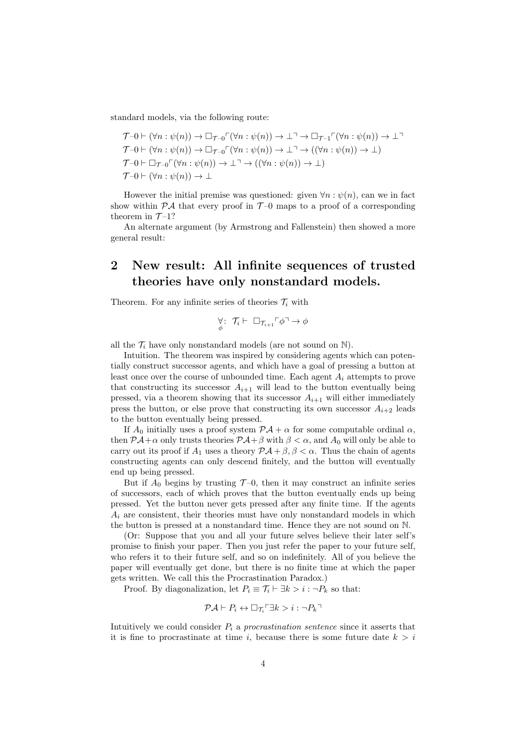standard models, via the following route:

$$
\mathcal{T}-0 \vdash (\forall n : \psi(n)) \to \Box_{\mathcal{T}-0} \ulcorner (\forall n : \psi(n)) \to \bot \urcorner \to \Box_{\mathcal{T}-1} \ulcorner (\forall n : \psi(n)) \to \bot \urcorner
$$
  
\n
$$
\mathcal{T}-0 \vdash (\forall n : \psi(n)) \to \Box_{\mathcal{T}-0} \ulcorner (\forall n : \psi(n)) \to \bot \urcorner \to ((\forall n : \psi(n)) \to \bot)
$$
  
\n
$$
\mathcal{T}-0 \vdash \Box_{\mathcal{T}-0} \ulcorner (\forall n : \psi(n)) \to \bot \urcorner \to ((\forall n : \psi(n)) \to \bot)
$$
  
\n
$$
\mathcal{T}-0 \vdash (\forall n : \psi(n)) \to \bot
$$

However the initial premise was questioned: given  $\forall n : \psi(n)$ , can we in fact show within  $\mathcal{P} A$  that every proof in  $\mathcal{T}$ -0 maps to a proof of a corresponding theorem in  $\mathcal{T}$ -1?

An alternate argument (by Armstrong and Fallenstein) then showed a more general result:

## 2 New result: All infinite sequences of trusted theories have only nonstandard models.

Theorem. For any infinite series of theories  $\mathcal{T}_i$  with

$$
\underset{\phi}{\forall}:\ \mathcal{T}_i\vdash \ \Box_{\mathcal{T}_{i+1}}\ulcorner \phi\urcorner \to \phi
$$

all the  $\mathcal{T}_i$  have only nonstandard models (are not sound on N).

Intuition. The theorem was inspired by considering agents which can potentially construct successor agents, and which have a goal of pressing a button at least once over the course of unbounded time. Each agent  $A_i$  attempts to prove that constructing its successor  $A_{i+1}$  will lead to the button eventually being pressed, via a theorem showing that its successor  $A_{i+1}$  will either immediately press the button, or else prove that constructing its own successor  $A_{i+2}$  leads to the button eventually being pressed.

If  $A_0$  initially uses a proof system  $\mathcal{P}A + \alpha$  for some computable ordinal  $\alpha$ , then  $\mathcal{P} \mathcal{A} + \alpha$  only trusts theories  $\mathcal{P} \mathcal{A} + \beta$  with  $\beta < \alpha$ , and  $A_0$  will only be able to carry out its proof if  $A_1$  uses a theory  $\mathcal{P} \mathcal{A} + \beta, \beta < \alpha$ . Thus the chain of agents constructing agents can only descend finitely, and the button will eventually end up being pressed.

But if  $A_0$  begins by trusting  $\mathcal{T}$ -0, then it may construct an infinite series of successors, each of which proves that the button eventually ends up being pressed. Yet the button never gets pressed after any finite time. If the agents  $A_i$  are consistent, their theories must have only nonstandard models in which the button is pressed at a nonstandard time. Hence they are not sound on N.

(Or: Suppose that you and all your future selves believe their later self's promise to finish your paper. Then you just refer the paper to your future self, who refers it to their future self, and so on indefinitely. All of you believe the paper will eventually get done, but there is no finite time at which the paper gets written. We call this the Procrastination Paradox.)

Proof. By diagonalization, let  $P_i \equiv \mathcal{T}_i \vdash \exists k > i : \neg P_k$  so that:

$$
\mathcal{P}\mathcal{A}\vdash P_i \leftrightarrow \Box_{\mathcal{T}_i} \Box k > i : \neg P_k \Box
$$

Intuitively we could consider  $P_i$  a procrastination sentence since it asserts that it is fine to procrastinate at time i, because there is some future date  $k > i$